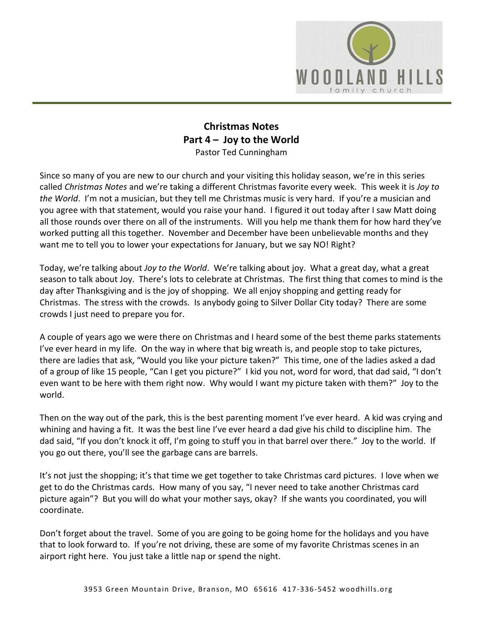

## **Christmas Notes Part 4 – Joy to the World**  Pastor Ted Cunningham

Since so many of you are new to our church and your visiting this holiday season, we're in this series called *Christmas Notes* and we're taking a different Christmas favorite every week. This week it is *Joy to the World*. I'm not a musician, but they tell me Christmas music is very hard. If you're a musician and you agree with that statement, would you raise your hand. I figured it out today after I saw Matt doing all those rounds over there on all of the instruments. Will you help me thank them for how hard they've worked putting all this together. November and December have been unbelievable months and they want me to tell you to lower your expectations for January, but we say NO! Right?

Today, we're talking about *Joy to the World*. We're talking about joy. What a great day, what a great season to talk about Joy. There's lots to celebrate at Christmas. The first thing that comes to mind is the day after Thanksgiving and is the joy of shopping. We all enjoy shopping and getting ready for Christmas. The stress with the crowds. Is anybody going to Silver Dollar City today? There are some crowds I just need to prepare you for.

A couple of years ago we were there on Christmas and I heard some of the best theme parks statements I've ever heard in my life. On the way in where that big wreath is, and people stop to take pictures, there are ladies that ask, "Would you like your picture taken?" This time, one of the ladies asked a dad of a group of like 15 people, "Can I get you picture?" I kid you not, word for word, that dad said, "I don't even want to be here with them right now. Why would I want my picture taken with them?" Joy to the world.

Then on the way out of the park, this is the best parenting moment I've ever heard. A kid was crying and whining and having a fit. It was the best line I've ever heard a dad give his child to discipline him. The dad said, "If you don't knock it off, I'm going to stuff you in that barrel over there." Joy to the world. If you go out there, you'll see the garbage cans are barrels.

It's not just the shopping; it's that time we get together to take Christmas card pictures. I love when we get to do the Christmas cards. How many of you say, "I never need to take another Christmas card picture again"? But you will do what your mother says, okay? If she wants you coordinated, you will coordinate.

Don't forget about the travel. Some of you are going to be going home for the holidays and you have that to look forward to. If you're not driving, these are some of my favorite Christmas scenes in an airport right here. You just take a little nap or spend the night.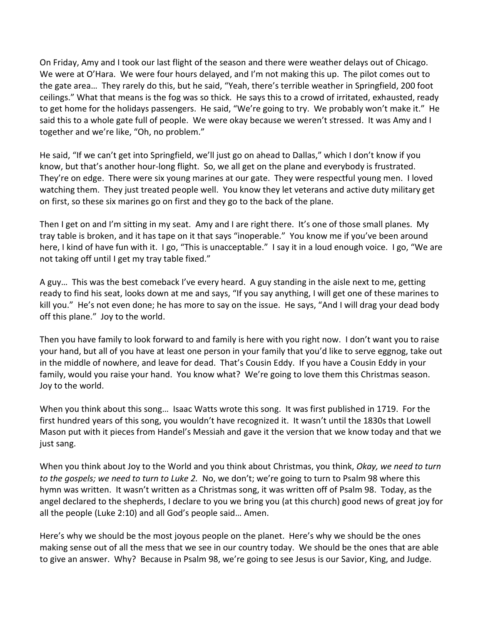On Friday, Amy and I took our last flight of the season and there were weather delays out of Chicago. We were at O'Hara. We were four hours delayed, and I'm not making this up. The pilot comes out to the gate area… They rarely do this, but he said, "Yeah, there's terrible weather in Springfield, 200 foot ceilings." What that means is the fog was so thick. He says this to a crowd of irritated, exhausted, ready to get home for the holidays passengers. He said, "We're going to try. We probably won't make it." He said this to a whole gate full of people. We were okay because we weren't stressed. It was Amy and I together and we're like, "Oh, no problem."

He said, "If we can't get into Springfield, we'll just go on ahead to Dallas," which I don't know if you know, but that's another hour-long flight. So, we all get on the plane and everybody is frustrated. They're on edge. There were six young marines at our gate. They were respectful young men. I loved watching them. They just treated people well. You know they let veterans and active duty military get on first, so these six marines go on first and they go to the back of the plane.

Then I get on and I'm sitting in my seat. Amy and I are right there. It's one of those small planes. My tray table is broken, and it has tape on it that says "inoperable." You know me if you've been around here, I kind of have fun with it. I go, "This is unacceptable." I say it in a loud enough voice. I go, "We are not taking off until I get my tray table fixed."

A guy… This was the best comeback I've every heard. A guy standing in the aisle next to me, getting ready to find his seat, looks down at me and says, "If you say anything, I will get one of these marines to kill you." He's not even done; he has more to say on the issue. He says, "And I will drag your dead body off this plane." Joy to the world.

Then you have family to look forward to and family is here with you right now. I don't want you to raise your hand, but all of you have at least one person in your family that you'd like to serve eggnog, take out in the middle of nowhere, and leave for dead. That's Cousin Eddy. If you have a Cousin Eddy in your family, would you raise your hand. You know what? We're going to love them this Christmas season. Joy to the world.

When you think about this song… Isaac Watts wrote this song. It was first published in 1719. For the first hundred years of this song, you wouldn't have recognized it. It wasn't until the 1830s that Lowell Mason put with it pieces from Handel's Messiah and gave it the version that we know today and that we just sang.

When you think about Joy to the World and you think about Christmas, you think, *Okay, we need to turn to the gospels; we need to turn to Luke 2.* No, we don't; we're going to turn to Psalm 98 where this hymn was written. It wasn't written as a Christmas song, it was written off of Psalm 98. Today, as the angel declared to the shepherds, I declare to you we bring you (at this church) good news of great joy for all the people (Luke 2:10) and all God's people said… Amen.

Here's why we should be the most joyous people on the planet. Here's why we should be the ones making sense out of all the mess that we see in our country today. We should be the ones that are able to give an answer. Why? Because in Psalm 98, we're going to see Jesus is our Savior, King, and Judge.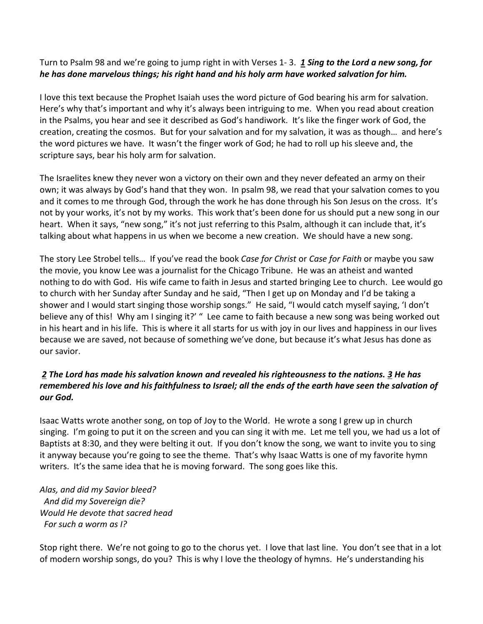## Turn to Psalm 98 and we're going to jump right in with Verses 1- 3. *[1](https://www.studylight.org/desk/?q=ps%2098:1&t1=en_niv&sr=1) Sing to the Lord a new song, for he has done marvelous things; his right hand and his holy arm have worked salvation for him.*

I love this text because the Prophet Isaiah uses the word picture of God bearing his arm for salvation. Here's why that's important and why it's always been intriguing to me. When you read about creation in the Psalms, you hear and see it described as God's handiwork. It's like the finger work of God, the creation, creating the cosmos. But for your salvation and for my salvation, it was as though… and here's the word pictures we have. It wasn't the finger work of God; he had to roll up his sleeve and, the scripture says, bear his holy arm for salvation.

The Israelites knew they never won a victory on their own and they never defeated an army on their own; it was always by God's hand that they won. In psalm 98, we read that your salvation comes to you and it comes to me through God, through the work he has done through his Son Jesus on the cross. It's not by your works, it's not by my works. This work that's been done for us should put a new song in our heart. When it says, "new song," it's not just referring to this Psalm, although it can include that, it's talking about what happens in us when we become a new creation. We should have a new song.

The story Lee Strobel tells… If you've read the book *Case for Christ* or *Case for Faith* or maybe you saw the movie, you know Lee was a journalist for the Chicago Tribune. He was an atheist and wanted nothing to do with God. His wife came to faith in Jesus and started bringing Lee to church. Lee would go to church with her Sunday after Sunday and he said, "Then I get up on Monday and I'd be taking a shower and I would start singing those worship songs." He said, "I would catch myself saying, 'I don't believe any of this! Why am I singing it?' " Lee came to faith because a new song was being worked out in his heart and in his life. This is where it all starts for us with joy in our lives and happiness in our lives because we are saved, not because of something we've done, but because it's what Jesus has done as our savior.

## *[2](https://www.studylight.org/desk/?q=ps%2098:2&t1=en_niv&sr=1) The Lord has made his salvation known and revealed his righteousness to the nations. [3](https://www.studylight.org/desk/?q=ps%2098:3&t1=en_niv&sr=1) He has remembered his love and his faithfulness to Israel; all the ends of the earth have seen the salvation of our God.*

Isaac Watts wrote another song, on top of Joy to the World. He wrote a song I grew up in church singing. I'm going to put it on the screen and you can sing it with me. Let me tell you, we had us a lot of Baptists at 8:30, and they were belting it out. If you don't know the song, we want to invite you to sing it anyway because you're going to see the theme. That's why Isaac Watts is one of my favorite hymn writers. It's the same idea that he is moving forward. The song goes like this.

*Alas, and did my Savior bleed? And did my Sovereign die? Would He devote that sacred head For such a worm as I?* 

Stop right there. We're not going to go to the chorus yet. I love that last line. You don't see that in a lot of modern worship songs, do you? This is why I love the theology of hymns. He's understanding his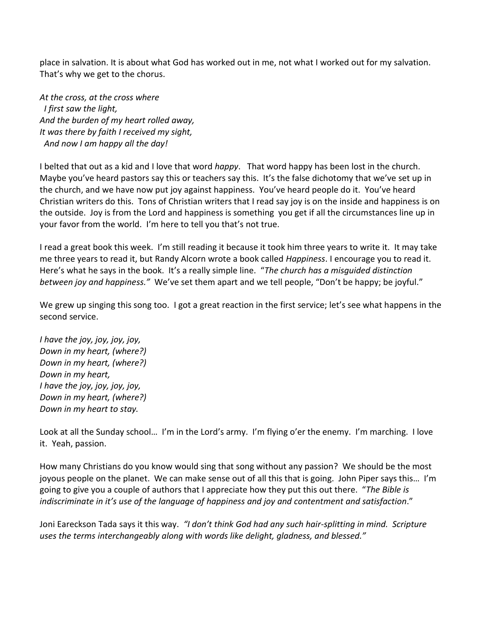place in salvation. It is about what God has worked out in me, not what I worked out for my salvation. That's why we get to the chorus.

*At the cross, at the cross where I first saw the light, And the burden of my heart rolled away, It was there by faith I received my sight, And now I am happy all the day!*

I belted that out as a kid and I love that word *happy*. That word happy has been lost in the church. Maybe you've heard pastors say this or teachers say this. It's the false dichotomy that we've set up in the church, and we have now put joy against happiness. You've heard people do it. You've heard Christian writers do this. Tons of Christian writers that I read say joy is on the inside and happiness is on the outside. Joy is from the Lord and happiness is something you get if all the circumstances line up in your favor from the world. I'm here to tell you that's not true.

I read a great book this week. I'm still reading it because it took him three years to write it. It may take me three years to read it, but Randy Alcorn wrote a book called *Happiness*. I encourage you to read it. Here's what he says in the book. It's a really simple line. "*The church has a misguided distinction between joy and happiness."* We've set them apart and we tell people, "Don't be happy; be joyful."

We grew up singing this song too. I got a great reaction in the first service; let's see what happens in the second service.

*I have the joy, joy, joy, joy, Down in my heart, (where?) Down in my heart, (where?) Down in my heart, I have the joy, joy, joy, joy, Down in my heart, (where?) Down in my heart to stay.* 

Look at all the Sunday school… I'm in the Lord's army. I'm flying o'er the enemy. I'm marching. I love it. Yeah, passion.

How many Christians do you know would sing that song without any passion? We should be the most joyous people on the planet. We can make sense out of all this that is going. John Piper says this… I'm going to give you a couple of authors that I appreciate how they put this out there. "*The Bible is indiscriminate in it's use of the language of happiness and joy and contentment and satisfaction*."

Joni Eareckson Tada says it this way. *"I don't think God had any such hair-splitting in mind. Scripture uses the terms interchangeably along with words like delight, gladness, and blessed."*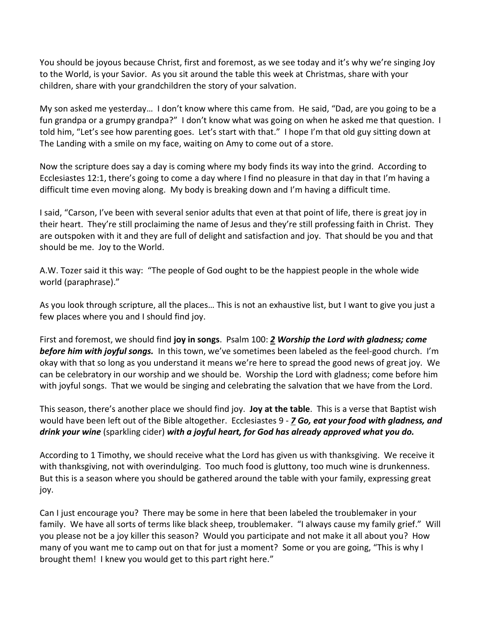You should be joyous because Christ, first and foremost, as we see today and it's why we're singing Joy to the World, is your Savior. As you sit around the table this week at Christmas, share with your children, share with your grandchildren the story of your salvation.

My son asked me yesterday… I don't know where this came from. He said, "Dad, are you going to be a fun grandpa or a grumpy grandpa?" I don't know what was going on when he asked me that question. I told him, "Let's see how parenting goes. Let's start with that." I hope I'm that old guy sitting down at The Landing with a smile on my face, waiting on Amy to come out of a store.

Now the scripture does say a day is coming where my body finds its way into the grind. According to Ecclesiastes 12:1, there's going to come a day where I find no pleasure in that day in that I'm having a difficult time even moving along. My body is breaking down and I'm having a difficult time.

I said, "Carson, I've been with several senior adults that even at that point of life, there is great joy in their heart. They're still proclaiming the name of Jesus and they're still professing faith in Christ. They are outspoken with it and they are full of delight and satisfaction and joy. That should be you and that should be me. Joy to the World.

A.W. Tozer said it this way: "The people of God ought to be the happiest people in the whole wide world (paraphrase)."

As you look through scripture, all the places… This is not an exhaustive list, but I want to give you just a few places where you and I should find joy.

First and foremost, we should find **joy in songs**. Psalm 100: *[2](https://www.studylight.org/desk/?q=ps%20100:2&t1=en_niv&sr=1) Worship the Lord with gladness; come before him with joyful songs.* In this town, we've sometimes been labeled as the feel-good church. I'm okay with that so long as you understand it means we're here to spread the good news of great joy. We can be celebratory in our worship and we should be. Worship the Lord with gladness; come before him with joyful songs. That we would be singing and celebrating the salvation that we have from the Lord.

This season, there's another place we should find joy. **Joy at the table**. This is a verse that Baptist wish would have been left out of the Bible altogether. Ecclesiastes 9 - *[7](https://www.studylight.org/desk/?q=ec%209:7&t1=en_niv&sr=1) Go, eat your food with gladness, and drink your wine* (sparkling cider) *with a joyful heart, for God has already approved what you do.*

According to 1 Timothy, we should receive what the Lord has given us with thanksgiving. We receive it with thanksgiving, not with overindulging. Too much food is gluttony, too much wine is drunkenness. But this is a season where you should be gathered around the table with your family, expressing great joy.

Can I just encourage you? There may be some in here that been labeled the troublemaker in your family. We have all sorts of terms like black sheep, troublemaker. "I always cause my family grief." Will you please not be a joy killer this season? Would you participate and not make it all about you? How many of you want me to camp out on that for just a moment? Some or you are going, "This is why I brought them! I knew you would get to this part right here."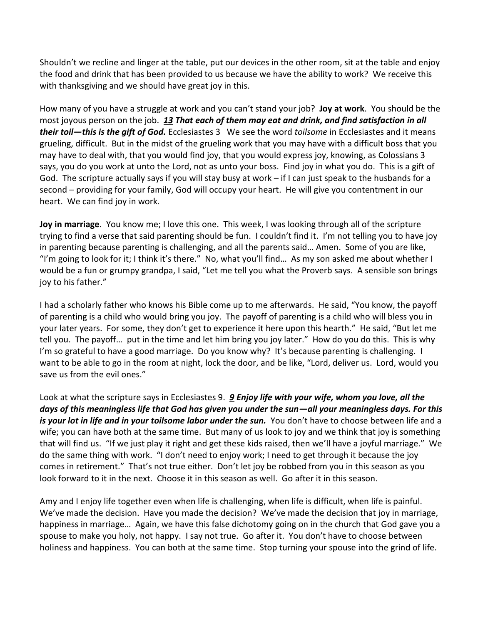Shouldn't we recline and linger at the table, put our devices in the other room, sit at the table and enjoy the food and drink that has been provided to us because we have the ability to work? We receive this with thanksgiving and we should have great joy in this.

How many of you have a struggle at work and you can't stand your job? **Joy at work**. You should be the most joyous person on the job. *[13](https://www.studylight.org/desk/?q=ec%203:13&t1=en_niv&sr=1) That each of them may eat and drink, and find satisfaction in all their toil—this is the gift of God.* Ecclesiastes 3 We see the word *toilsome* in Ecclesiastes and it means grueling, difficult. But in the midst of the grueling work that you may have with a difficult boss that you may have to deal with, that you would find joy, that you would express joy, knowing, as Colossians 3 says, you do you work at unto the Lord, not as unto your boss. Find joy in what you do. This is a gift of God. The scripture actually says if you will stay busy at work – if I can just speak to the husbands for a second – providing for your family, God will occupy your heart. He will give you contentment in our heart. We can find joy in work.

**Joy in marriage**. You know me; I love this one. This week, I was looking through all of the scripture trying to find a verse that said parenting should be fun. I couldn't find it. I'm not telling you to have joy in parenting because parenting is challenging, and all the parents said… Amen. Some of you are like, "I'm going to look for it; I think it's there." No, what you'll find… As my son asked me about whether I would be a fun or grumpy grandpa, I said, "Let me tell you what the Proverb says. A sensible son brings joy to his father."

I had a scholarly father who knows his Bible come up to me afterwards. He said, "You know, the payoff of parenting is a child who would bring you joy. The payoff of parenting is a child who will bless you in your later years. For some, they don't get to experience it here upon this hearth." He said, "But let me tell you. The payoff… put in the time and let him bring you joy later." How do you do this. This is why I'm so grateful to have a good marriage. Do you know why? It's because parenting is challenging. I want to be able to go in the room at night, lock the door, and be like, "Lord, deliver us. Lord, would you save us from the evil ones."

Look at what the scripture says in Ecclesiastes 9. *[9](https://www.studylight.org/desk/?q=ec%209:9&t1=en_niv&sr=1) Enjoy life with your wife, whom you love, all the days of this meaningless life that God has given you under the sun—all your meaningless days. For this is your lot in life and in your toilsome labor under the sun.* You don't have to choose between life and a wife; you can have both at the same time. But many of us look to joy and we think that joy is something that will find us. "If we just play it right and get these kids raised, then we'll have a joyful marriage." We do the same thing with work. "I don't need to enjoy work; I need to get through it because the joy comes in retirement." That's not true either. Don't let joy be robbed from you in this season as you look forward to it in the next. Choose it in this season as well. Go after it in this season.

Amy and I enjoy life together even when life is challenging, when life is difficult, when life is painful. We've made the decision. Have you made the decision? We've made the decision that joy in marriage, happiness in marriage… Again, we have this false dichotomy going on in the church that God gave you a spouse to make you holy, not happy. I say not true. Go after it. You don't have to choose between holiness and happiness. You can both at the same time. Stop turning your spouse into the grind of life.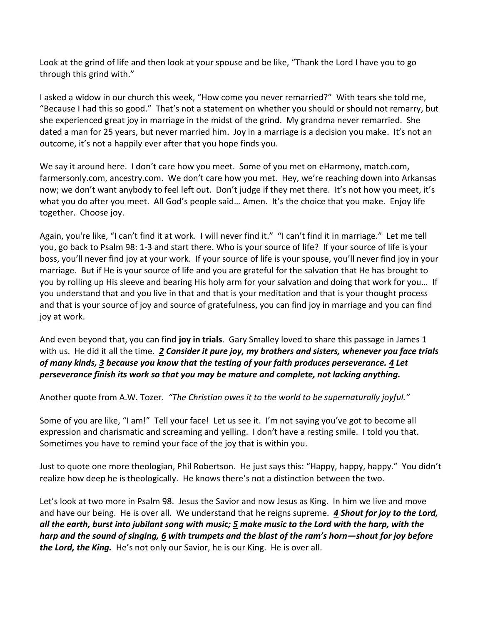Look at the grind of life and then look at your spouse and be like, "Thank the Lord I have you to go through this grind with."

I asked a widow in our church this week, "How come you never remarried?" With tears she told me, "Because I had this so good." That's not a statement on whether you should or should not remarry, but she experienced great joy in marriage in the midst of the grind. My grandma never remarried. She dated a man for 25 years, but never married him. Joy in a marriage is a decision you make. It's not an outcome, it's not a happily ever after that you hope finds you.

We say it around here. I don't care how you meet. Some of you met on eHarmony, match.com, farmersonly.com, ancestry.com. We don't care how you met. Hey, we're reaching down into Arkansas now; we don't want anybody to feel left out. Don't judge if they met there. It's not how you meet, it's what you do after you meet. All God's people said… Amen. It's the choice that you make. Enjoy life together. Choose joy.

Again, you're like, "I can't find it at work. I will never find it." "I can't find it in marriage." Let me tell you, go back to Psalm 98: 1-3 and start there. Who is your source of life? If your source of life is your boss, you'll never find joy at your work. If your source of life is your spouse, you'll never find joy in your marriage. But if He is your source of life and you are grateful for the salvation that He has brought to you by rolling up His sleeve and bearing His holy arm for your salvation and doing that work for you… If you understand that and you live in that and that is your meditation and that is your thought process and that is your source of joy and source of gratefulness, you can find joy in marriage and you can find joy at work.

And even beyond that, you can find **joy in trials**. Gary Smalley loved to share this passage in James 1 with us. He did it all the time. *[2](https://www.studylight.org/desk/?q=jas%201:2&t1=en_niv&sr=1) Consider it pure joy, my brothers and sisters, whenever you face trials of many kinds, [3](https://www.studylight.org/desk/?q=jas%201:3&t1=en_niv&sr=1) because you know that the testing of your faith produces perseverance. [4](https://www.studylight.org/desk/?q=jas%201:4&t1=en_niv&sr=1) Let perseverance finish its work so that you may be mature and complete, not lacking anything.* 

Another quote from A.W. Tozer. *"The Christian owes it to the world to be supernaturally joyful."*

Some of you are like, "I am!" Tell your face! Let us see it. I'm not saying you've got to become all expression and charismatic and screaming and yelling. I don't have a resting smile. I told you that. Sometimes you have to remind your face of the joy that is within you.

Just to quote one more theologian, Phil Robertson. He just says this: "Happy, happy, happy." You didn't realize how deep he is theologically. He knows there's not a distinction between the two.

Let's look at two more in Psalm 98. Jesus the Savior and now Jesus as King. In him we live and move and have our being. He is over all. We understand that he reigns supreme. *[4](https://www.studylight.org/desk/?q=ps%2098:4&t1=en_niv&sr=1) Shout for joy to the Lord, all the earth, burst into jubilant song with music; [5](https://www.studylight.org/desk/?q=ps%2098:5&t1=en_niv&sr=1) make music to the Lord with the harp, with the harp and the sound of singing, [6](https://www.studylight.org/desk/?q=ps%2098:6&t1=en_niv&sr=1) with trumpets and the blast of the ram's horn—shout for joy before the Lord, the King.* He's not only our Savior, he is our King. He is over all.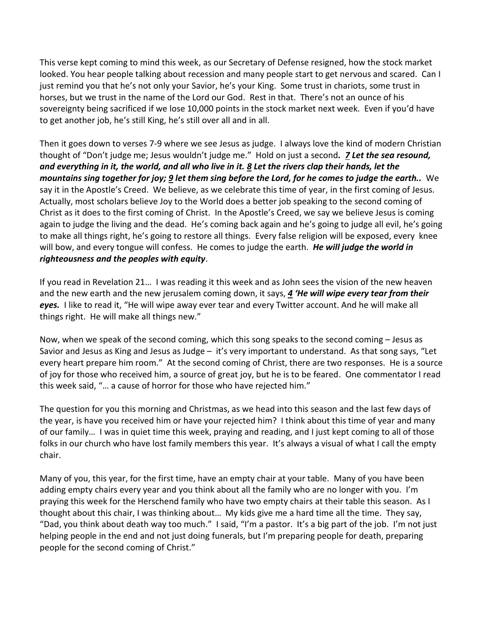This verse kept coming to mind this week, as our Secretary of Defense resigned, how the stock market looked. You hear people talking about recession and many people start to get nervous and scared. Can I just remind you that he's not only your Savior, he's your King. Some trust in chariots, some trust in horses, but we trust in the name of the Lord our God. Rest in that. There's not an ounce of his sovereignty being sacrificed if we lose 10,000 points in the stock market next week. Even if you'd have to get another job, he's still King, he's still over all and in all.

Then it goes down to verses 7-9 where we see Jesus as judge. I always love the kind of modern Christian thought of "Don't judge me; Jesus wouldn't judge me." Hold on just a second*. [7](https://www.studylight.org/desk/?q=ps%2098:7&t1=en_niv&sr=1) Let the sea resound, and everything in it, the world, and all who live in it. [8](https://www.studylight.org/desk/?q=ps%2098:8&t1=en_niv&sr=1) Let the rivers clap their hands, let the mountains sing together for joy; [9](https://www.studylight.org/desk/?q=ps%2098:9&t1=en_niv&sr=1) let them sing before the Lord, for he comes to judge the earth..* We say it in the Apostle's Creed. We believe, as we celebrate this time of year, in the first coming of Jesus. Actually, most scholars believe Joy to the World does a better job speaking to the second coming of Christ as it does to the first coming of Christ. In the Apostle's Creed, we say we believe Jesus is coming again to judge the living and the dead. He's coming back again and he's going to judge all evil, he's going to make all things right, he's going to restore all things. Every false religion will be exposed, every knee will bow, and every tongue will confess. He comes to judge the earth. *He will judge the world in righteousness and the peoples with equity*.

If you read in Revelation 21… I was reading it this week and as John sees the vision of the new heaven and the new earth and the new jerusalem coming down, it says, *[4](https://www.studylight.org/desk/?q=re%2021:4&t1=en_niv&sr=1) 'He will wipe every tear from their eyes.* I like to read it, "He will wipe away ever tear and every Twitter account. And he will make all things right. He will make all things new."

Now, when we speak of the second coming, which this song speaks to the second coming – Jesus as Savior and Jesus as King and Jesus as Judge – it's very important to understand. As that song says, "Let every heart prepare him room." At the second coming of Christ, there are two responses. He is a source of joy for those who received him, a source of great joy, but he is to be feared. One commentator I read this week said, "… a cause of horror for those who have rejected him."

The question for you this morning and Christmas, as we head into this season and the last few days of the year, is have you received him or have your rejected him? I think about this time of year and many of our family… I was in quiet time this week, praying and reading, and I just kept coming to all of those folks in our church who have lost family members this year. It's always a visual of what I call the empty chair.

Many of you, this year, for the first time, have an empty chair at your table. Many of you have been adding empty chairs every year and you think about all the family who are no longer with you. I'm praying this week for the Herschend family who have two empty chairs at their table this season. As I thought about this chair, I was thinking about… My kids give me a hard time all the time. They say, "Dad, you think about death way too much." I said, "I'm a pastor. It's a big part of the job. I'm not just helping people in the end and not just doing funerals, but I'm preparing people for death, preparing people for the second coming of Christ."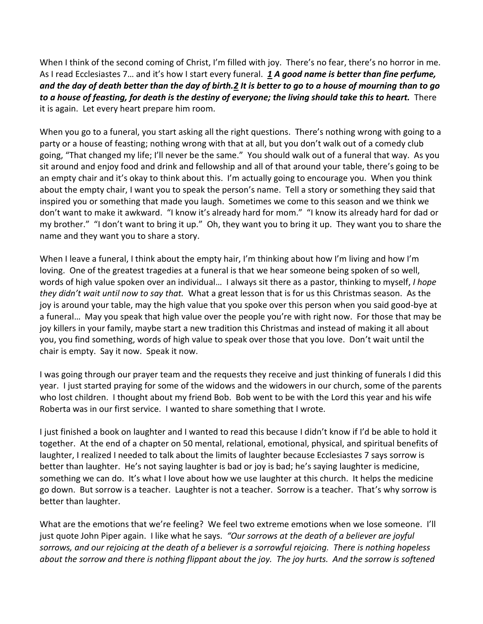When I think of the second coming of Christ, I'm filled with joy. There's no fear, there's no horror in me. As I read Ecclesiastes 7… and it's how I start every funeral. *[1](https://www.studylight.org/desk/?q=ec%207:1&t1=en_niv&sr=1) A good name is better than fine perfume, and the day of death better than the day of birth[.2](https://www.studylight.org/desk/?q=ec%207:2&t1=en_niv&sr=1) It is better to go to a house of mourning than to go to a house of feasting, for death is the destiny of everyone; the living should take this to heart.* There it is again. Let every heart prepare him room.

When you go to a funeral, you start asking all the right questions. There's nothing wrong with going to a party or a house of feasting; nothing wrong with that at all, but you don't walk out of a comedy club going, "That changed my life; I'll never be the same." You should walk out of a funeral that way. As you sit around and enjoy food and drink and fellowship and all of that around your table, there's going to be an empty chair and it's okay to think about this. I'm actually going to encourage you. When you think about the empty chair, I want you to speak the person's name. Tell a story or something they said that inspired you or something that made you laugh. Sometimes we come to this season and we think we don't want to make it awkward. "I know it's already hard for mom." "I know its already hard for dad or my brother." "I don't want to bring it up." Oh, they want you to bring it up. They want you to share the name and they want you to share a story.

When I leave a funeral, I think about the empty hair, I'm thinking about how I'm living and how I'm loving. One of the greatest tragedies at a funeral is that we hear someone being spoken of so well, words of high value spoken over an individual… I always sit there as a pastor, thinking to myself, *I hope they didn't wait until now to say that.* What a great lesson that is for us this Christmas season. As the joy is around your table, may the high value that you spoke over this person when you said good-bye at a funeral… May you speak that high value over the people you're with right now. For those that may be joy killers in your family, maybe start a new tradition this Christmas and instead of making it all about you, you find something, words of high value to speak over those that you love. Don't wait until the chair is empty. Say it now. Speak it now.

I was going through our prayer team and the requests they receive and just thinking of funerals I did this year. I just started praying for some of the widows and the widowers in our church, some of the parents who lost children. I thought about my friend Bob. Bob went to be with the Lord this year and his wife Roberta was in our first service. I wanted to share something that I wrote.

I just finished a book on laughter and I wanted to read this because I didn't know if I'd be able to hold it together. At the end of a chapter on 50 mental, relational, emotional, physical, and spiritual benefits of laughter, I realized I needed to talk about the limits of laughter because Ecclesiastes 7 says sorrow is better than laughter. He's not saying laughter is bad or joy is bad; he's saying laughter is medicine, something we can do. It's what I love about how we use laughter at this church. It helps the medicine go down. But sorrow is a teacher. Laughter is not a teacher. Sorrow is a teacher. That's why sorrow is better than laughter.

What are the emotions that we're feeling? We feel two extreme emotions when we lose someone. I'll just quote John Piper again. I like what he says. *"Our sorrows at the death of a believer are joyful sorrows, and our rejoicing at the death of a believer is a sorrowful rejoicing. There is nothing hopeless about the sorrow and there is nothing flippant about the joy. The joy hurts. And the sorrow is softened*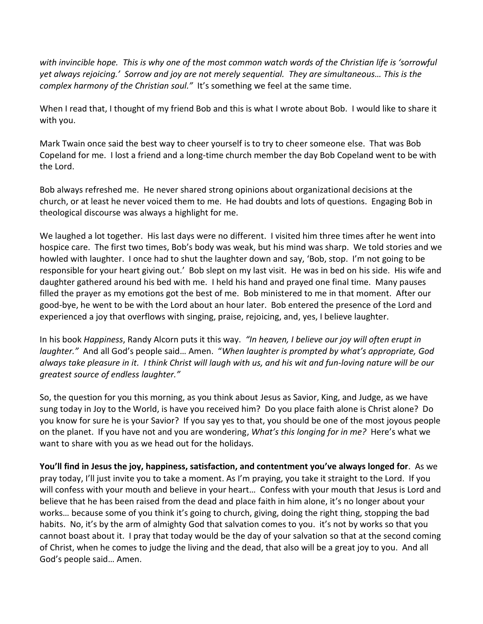*with invincible hope. This is why one of the most common watch words of the Christian life is 'sorrowful yet always rejoicing.' Sorrow and joy are not merely sequential. They are simultaneous… This is the complex harmony of the Christian soul."* It's something we feel at the same time.

When I read that, I thought of my friend Bob and this is what I wrote about Bob. I would like to share it with you.

Mark Twain once said the best way to cheer yourself is to try to cheer someone else. That was Bob Copeland for me. I lost a friend and a long-time church member the day Bob Copeland went to be with the Lord.

Bob always refreshed me. He never shared strong opinions about organizational decisions at the church, or at least he never voiced them to me. He had doubts and lots of questions. Engaging Bob in theological discourse was always a highlight for me.

We laughed a lot together. His last days were no different. I visited him three times after he went into hospice care. The first two times, Bob's body was weak, but his mind was sharp. We told stories and we howled with laughter. I once had to shut the laughter down and say, 'Bob, stop. I'm not going to be responsible for your heart giving out.' Bob slept on my last visit. He was in bed on his side. His wife and daughter gathered around his bed with me. I held his hand and prayed one final time. Many pauses filled the prayer as my emotions got the best of me. Bob ministered to me in that moment. After our good-bye, he went to be with the Lord about an hour later. Bob entered the presence of the Lord and experienced a joy that overflows with singing, praise, rejoicing, and, yes, I believe laughter.

In his book *Happiness*, Randy Alcorn puts it this way. *"In heaven, I believe our joy will often erupt in laughter."* And all God's people said… Amen. "*When laughter is prompted by what's appropriate, God always take pleasure in it. I think Christ will laugh with us, and his wit and fun-loving nature will be our greatest source of endless laughter."*

So, the question for you this morning, as you think about Jesus as Savior, King, and Judge, as we have sung today in Joy to the World, is have you received him? Do you place faith alone is Christ alone? Do you know for sure he is your Savior? If you say yes to that, you should be one of the most joyous people on the planet. If you have not and you are wondering, *What's this longing for in me?* Here's what we want to share with you as we head out for the holidays.

**You'll find in Jesus the joy, happiness, satisfaction, and contentment you've always longed for**. As we pray today, I'll just invite you to take a moment. As I'm praying, you take it straight to the Lord. If you will confess with your mouth and believe in your heart… Confess with your mouth that Jesus is Lord and believe that he has been raised from the dead and place faith in him alone, it's no longer about your works… because some of you think it's going to church, giving, doing the right thing, stopping the bad habits. No, it's by the arm of almighty God that salvation comes to you. it's not by works so that you cannot boast about it. I pray that today would be the day of your salvation so that at the second coming of Christ, when he comes to judge the living and the dead, that also will be a great joy to you. And all God's people said… Amen.